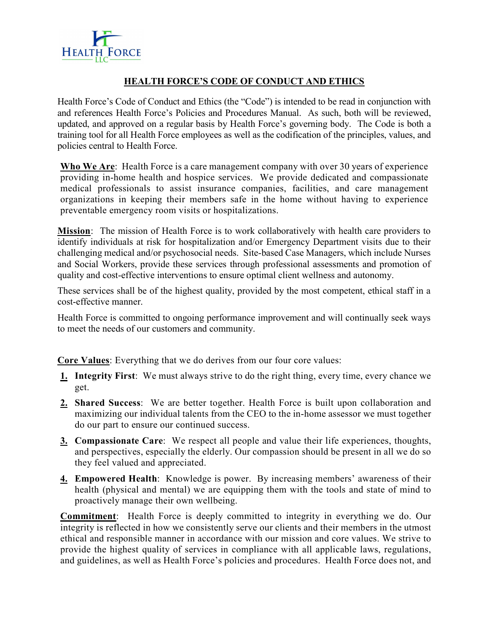

# HEALTH FORCE'S CODE OF CONDUCT AND ETHICS

Health Force's Code of Conduct and Ethics (the "Code") is intended to be read in conjunction with and references Health Force's Policies and Procedures Manual. As such, both will be reviewed, updated, and approved on a regular basis by Health Force's governing body. The Code is both a training tool for all Health Force employees as well as the codification of the principles, values, and policies central to Health Force.

Who We Are: Health Force is a care management company with over 30 years of experience providing in-home health and hospice services. We provide dedicated and compassionate medical professionals to assist insurance companies, facilities, and care management organizations in keeping their members safe in the home without having to experience preventable emergency room visits or hospitalizations.

Mission: The mission of Health Force is to work collaboratively with health care providers to identify individuals at risk for hospitalization and/or Emergency Department visits due to their challenging medical and/or psychosocial needs. Site-based Case Managers, which include Nurses and Social Workers, provide these services through professional assessments and promotion of quality and cost-effective interventions to ensure optimal client wellness and autonomy.

These services shall be of the highest quality, provided by the most competent, ethical staff in a cost-effective manner.

Health Force is committed to ongoing performance improvement and will continually seek ways to meet the needs of our customers and community.

Core Values: Everything that we do derives from our four core values:

- 1. Integrity First: We must always strive to do the right thing, every time, every chance we get.
- 2. Shared Success: We are better together. Health Force is built upon collaboration and maximizing our individual talents from the CEO to the in-home assessor we must together do our part to ensure our continued success.
- 3. Compassionate Care: We respect all people and value their life experiences, thoughts, and perspectives, especially the elderly. Our compassion should be present in all we do so they feel valued and appreciated.
- 4. Empowered Health: Knowledge is power. By increasing members' awareness of their health (physical and mental) we are equipping them with the tools and state of mind to proactively manage their own wellbeing.

Commitment: Health Force is deeply committed to integrity in everything we do. Our integrity is reflected in how we consistently serve our clients and their members in the utmost ethical and responsible manner in accordance with our mission and core values. We strive to provide the highest quality of services in compliance with all applicable laws, regulations, and guidelines, as well as Health Force's policies and procedures. Health Force does not, and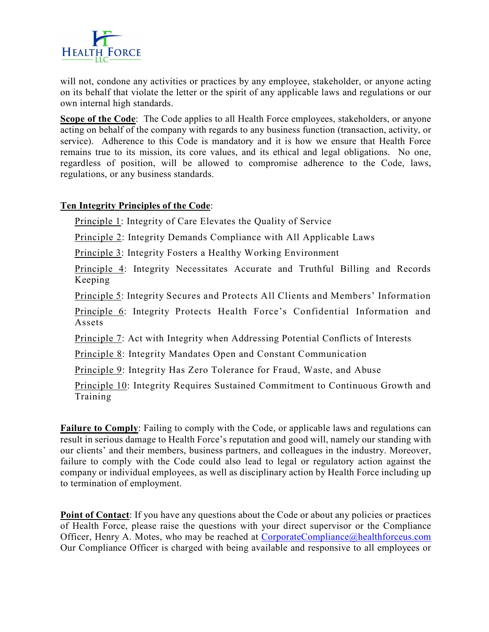

will not, condone any activities or practices by any employee, stakeholder, or anyone acting on its behalf that violate the letter or the spirit of any applicable laws and regulations or our own internal high standards.

Scope of the Code: The Code applies to all Health Force employees, stakeholders, or anyone acting on behalf of the company with regards to any business function (transaction, activity, or service). Adherence to this Code is mandatory and it is how we ensure that Health Force remains true to its mission, its core values, and its ethical and legal obligations. No one, regardless of position, will be allowed to compromise adherence to the Code, laws, regulations, or any business standards.

## Ten Integrity Principles of the Code:

Principle 1: Integrity of Care Elevates the Quality of Service

Principle 2: Integrity Demands Compliance with All Applicable Laws

Principle 3: Integrity Fosters a Healthy Working Environment

Principle 4: Integrity Necessitates Accurate and Truthful Billing and Records Keeping

Principle 5: Integrity Secures and Protects All Clients and Members' Information

Principle 6: Integrity Protects Health Force's Confidential Information and Assets

Principle 7: Act with Integrity when Addressing Potential Conflicts of Interests

Principle 8: Integrity Mandates Open and Constant Communication

Principle 9: Integrity Has Zero Tolerance for Fraud, Waste, and Abuse

Principle 10: Integrity Requires Sustained Commitment to Continuous Growth and Training

Failure to Comply: Failing to comply with the Code, or applicable laws and regulations can result in serious damage to Health Force's reputation and good will, namely our standing with our clients' and their members, business partners, and colleagues in the industry. Moreover, failure to comply with the Code could also lead to legal or regulatory action against the company or individual employees, as well as disciplinary action by Health Force including up to termination of employment.

Point of Contact: If you have any questions about the Code or about any policies or practices of Health Force, please raise the questions with your direct supervisor or the Compliance Officer, Henry A. Motes, who may be reached at CorporateCompliance@healthforceus.com Our Compliance Officer is charged with being available and responsive to all employees or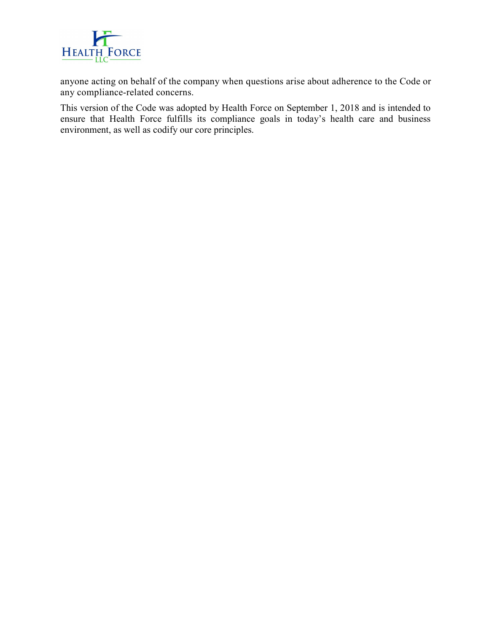

anyone acting on behalf of the company when questions arise about adherence to the Code or any compliance-related concerns.

This version of the Code was adopted by Health Force on September 1, 2018 and is intended to ensure that Health Force fulfills its compliance goals in today's health care and business environment, as well as codify our core principles.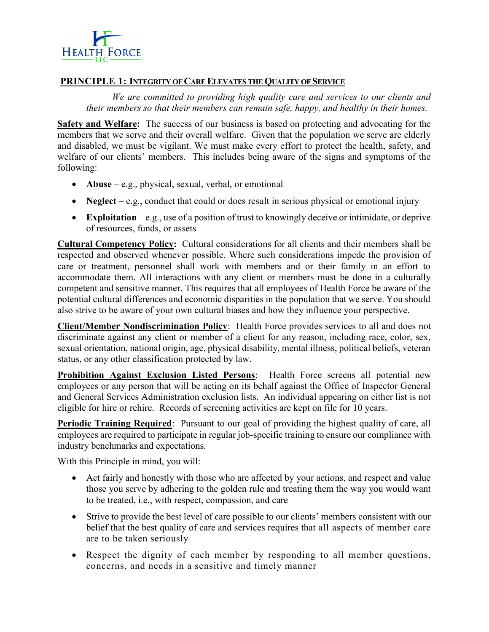

## PRINCIPLE 1: INTEGRITY OF CARE ELEVATES THE QUALITY OF SERVICE

We are committed to providing high quality care and services to our clients and their members so that their members can remain safe, happy, and healthy in their homes.

Safety and Welfare: The success of our business is based on protecting and advocating for the members that we serve and their overall welfare. Given that the population we serve are elderly and disabled, we must be vigilant. We must make every effort to protect the health, safety, and welfare of our clients' members. This includes being aware of the signs and symptoms of the following:

- Abuse e.g., physical, sexual, verbal, or emotional
- Neglect e.g., conduct that could or does result in serious physical or emotional injury
- Exploitation e.g., use of a position of trust to knowingly deceive or intimidate, or deprive of resources, funds, or assets

Cultural Competency Policy: Cultural considerations for all clients and their members shall be respected and observed whenever possible. Where such considerations impede the provision of care or treatment, personnel shall work with members and or their family in an effort to accommodate them. All interactions with any client or members must be done in a culturally competent and sensitive manner. This requires that all employees of Health Force be aware of the potential cultural differences and economic disparities in the population that we serve. You should also strive to be aware of your own cultural biases and how they influence your perspective.

Client/Member Nondiscrimination Policy: Health Force provides services to all and does not discriminate against any client or member of a client for any reason, including race, color, sex, sexual orientation, national origin, age, physical disability, mental illness, political beliefs, veteran status, or any other classification protected by law.

**Prohibition Against Exclusion Listed Persons:** Health Force screens all potential new employees or any person that will be acting on its behalf against the Office of Inspector General and General Services Administration exclusion lists. An individual appearing on either list is not eligible for hire or rehire. Records of screening activities are kept on file for 10 years.

**Periodic Training Required:** Pursuant to our goal of providing the highest quality of care, all employees are required to participate in regular job-specific training to ensure our compliance with industry benchmarks and expectations.

With this Principle in mind, you will:

- Act fairly and honestly with those who are affected by your actions, and respect and value those you serve by adhering to the golden rule and treating them the way you would want to be treated, i.e., with respect, compassion, and care
- Strive to provide the best level of care possible to our clients' members consistent with our belief that the best quality of care and services requires that all aspects of member care are to be taken seriously
- Respect the dignity of each member by responding to all member questions, concerns, and needs in a sensitive and timely manner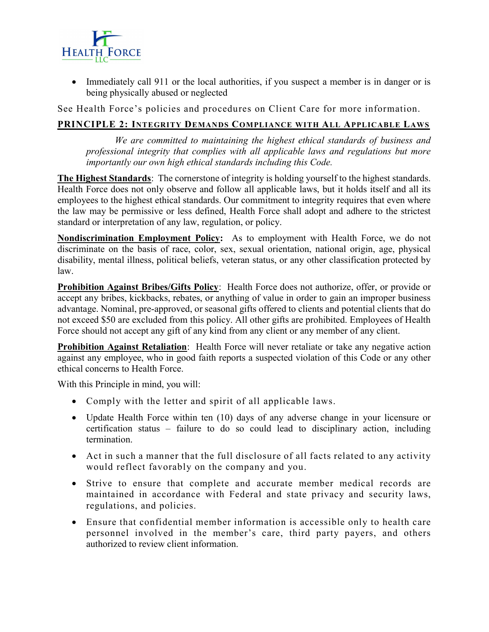

• Immediately call 911 or the local authorities, if you suspect a member is in danger or is being physically abused or neglected

See Health Force's policies and procedures on Client Care for more information.

# PRINCIPLE 2: INTEGRITY DEMANDS COMPLIANCE WITH ALL APPLICABLE LAWS

We are committed to maintaining the highest ethical standards of business and professional integrity that complies with all applicable laws and regulations but more importantly our own high ethical standards including this Code.

The Highest Standards: The cornerstone of integrity is holding yourself to the highest standards. Health Force does not only observe and follow all applicable laws, but it holds itself and all its employees to the highest ethical standards. Our commitment to integrity requires that even where the law may be permissive or less defined, Health Force shall adopt and adhere to the strictest standard or interpretation of any law, regulation, or policy.

Nondiscrimination Employment Policy: As to employment with Health Force, we do not discriminate on the basis of race, color, sex, sexual orientation, national origin, age, physical disability, mental illness, political beliefs, veteran status, or any other classification protected by law.

Prohibition Against Bribes/Gifts Policy: Health Force does not authorize, offer, or provide or accept any bribes, kickbacks, rebates, or anything of value in order to gain an improper business advantage. Nominal, pre-approved, or seasonal gifts offered to clients and potential clients that do not exceed \$50 are excluded from this policy. All other gifts are prohibited. Employees of Health Force should not accept any gift of any kind from any client or any member of any client.

Prohibition Against Retaliation: Health Force will never retaliate or take any negative action against any employee, who in good faith reports a suspected violation of this Code or any other ethical concerns to Health Force.

With this Principle in mind, you will:

- Comply with the letter and spirit of all applicable laws.
- Update Health Force within ten (10) days of any adverse change in your licensure or certification status – failure to do so could lead to disciplinary action, including termination.
- Act in such a manner that the full disclosure of all facts related to any activity would reflect favorably on the company and you.
- Strive to ensure that complete and accurate member medical records are maintained in accordance with Federal and state privacy and security laws, regulations, and policies.
- Ensure that confidential member information is accessible only to health care personnel involved in the member's care, third party payers, and others authorized to review client information.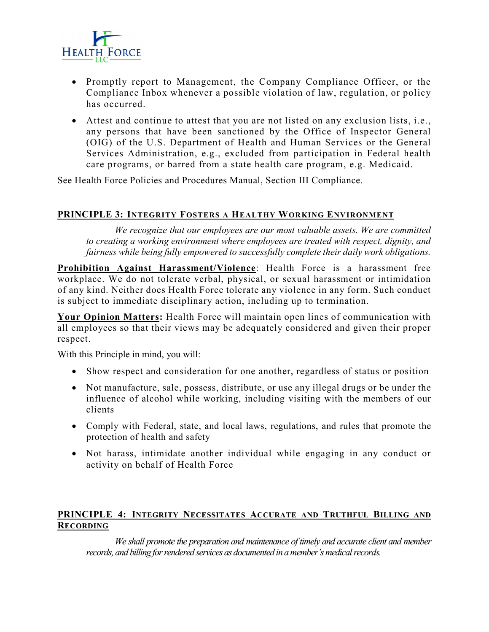

- Promptly report to Management, the Company Compliance Officer, or the Compliance Inbox whenever a possible violation of law, regulation, or policy has occurred.
- Attest and continue to attest that you are not listed on any exclusion lists, i.e., any persons that have been sanctioned by the Office of Inspector General (OIG) of the U.S. Department of Health and Human Services or the General Services Administration, e.g., excluded from participation in Federal health care programs, or barred from a state health care program, e.g. Medicaid.

See Health Force Policies and Procedures Manual, Section III Compliance.

## PRINCIPLE 3: INTEGRITY FOSTERS A HEALTHY WORKING ENVIRONMENT

We recognize that our employees are our most valuable assets. We are committed to creating a working environment where employees are treated with respect, dignity, and fairness while being fully empowered to successfully complete their daily work obligations.

Prohibition Against Harassment/Violence: Health Force is a harassment free workplace. We do not tolerate verbal, physical, or sexual harassment or intimidation of any kind. Neither does Health Force tolerate any violence in any form. Such conduct is subject to immediate disciplinary action, including up to termination.

Your Opinion Matters: Health Force will maintain open lines of communication with all employees so that their views may be adequately considered and given their proper respect.

With this Principle in mind, you will:

- Show respect and consideration for one another, regardless of status or position
- Not manufacture, sale, possess, distribute, or use any illegal drugs or be under the influence of alcohol while working, including visiting with the members of our clients
- Comply with Federal, state, and local laws, regulations, and rules that promote the protection of health and safety
- Not harass, intimidate another individual while engaging in any conduct or activity on behalf of Health Force

## PRINCIPLE 4: INTEGRITY NECESSITATES ACCURATE AND TRUTHFUL BILLING AND **RECORDING**

We shall promote the preparation and maintenance of timely and accurate client and member records, and billing for rendered services as documented in a member's medical records.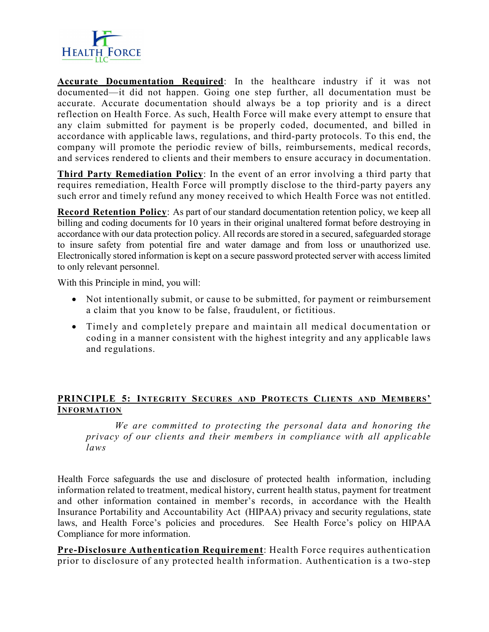

Accurate Documentation Required: In the healthcare industry if it was not documented—it did not happen. Going one step further, all documentation must be accurate. Accurate documentation should always be a top priority and is a direct reflection on Health Force. As such, Health Force will make every attempt to ensure that any claim submitted for payment is be properly coded, documented, and billed in accordance with applicable laws, regulations, and third-party protocols. To this end, the company will promote the periodic review of bills, reimbursements, medical records, and services rendered to clients and their members to ensure accuracy in documentation.

Third Party Remediation Policy: In the event of an error involving a third party that requires remediation, Health Force will promptly disclose to the third-party payers any such error and timely refund any money received to which Health Force was not entitled.

Record Retention Policy: As part of our standard documentation retention policy, we keep all billing and coding documents for 10 years in their original unaltered format before destroying in accordance with our data protection policy. All records are stored in a secured, safeguarded storage to insure safety from potential fire and water damage and from loss or unauthorized use. Electronically stored information is kept on a secure password protected server with access limited to only relevant personnel.

With this Principle in mind, you will:

- Not intentionally submit, or cause to be submitted, for payment or reimbursement a claim that you know to be false, fraudulent, or fictitious.
- Timely and completely prepare and maintain all medical documentation or coding in a manner consistent with the highest integrity and any applicable laws and regulations.

# PRINCIPLE 5: INTEGRITY SECURES AND PROTECTS CLIENTS AND MEMBERS' INFORMATION

We are committed to protecting the personal data and honoring the privacy of our clients and their members in compliance with all applicable laws

Health Force safeguards the use and disclosure of protected health information, including information related to treatment, medical history, current health status, payment for treatment and other information contained in member's records, in accordance with the Health Insurance Portability and Accountability Act (HIPAA) privacy and security regulations, state laws, and Health Force's policies and procedures. See Health Force's policy on HIPAA Compliance for more information.

Pre-Disclosure Authentication Requirement: Health Force requires authentication prior to disclosure of any protected health information. Authentication is a two-step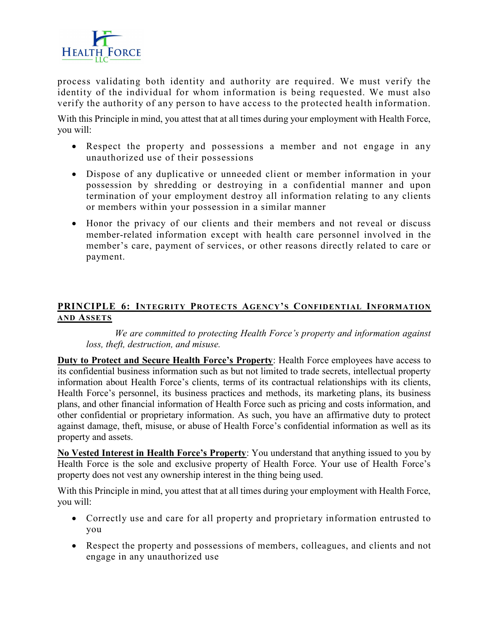

process validating both identity and authority are required. We must verify the identity of the individual for whom information is being requested. We must also verify the authority of any person to have access to the protected health information.

With this Principle in mind, you attest that at all times during your employment with Health Force, you will:

- Respect the property and possessions a member and not engage in any unauthorized use of their possessions
- Dispose of any duplicative or unneeded client or member information in your possession by shredding or destroying in a confidential manner and upon termination of your employment destroy all information relating to any clients or members within your possession in a similar manner
- Honor the privacy of our clients and their members and not reveal or discuss member-related information except with health care personnel involved in the member's care, payment of services, or other reasons directly related to care or payment.

# PRINCIPLE 6: INTEGRITY PROTECTS AGENCY'S CONFIDENTIAL INFORMATION AND ASSETS

We are committed to protecting Health Force's property and information against loss, theft, destruction, and misuse.

Duty to Protect and Secure Health Force's Property: Health Force employees have access to its confidential business information such as but not limited to trade secrets, intellectual property information about Health Force's clients, terms of its contractual relationships with its clients, Health Force's personnel, its business practices and methods, its marketing plans, its business plans, and other financial information of Health Force such as pricing and costs information, and other confidential or proprietary information. As such, you have an affirmative duty to protect against damage, theft, misuse, or abuse of Health Force's confidential information as well as its property and assets.

No Vested Interest in Health Force's Property: You understand that anything issued to you by Health Force is the sole and exclusive property of Health Force. Your use of Health Force's property does not vest any ownership interest in the thing being used.

With this Principle in mind, you attest that at all times during your employment with Health Force, you will:

- Correctly use and care for all property and proprietary information entrusted to you
- Respect the property and possessions of members, colleagues, and clients and not engage in any unauthorized use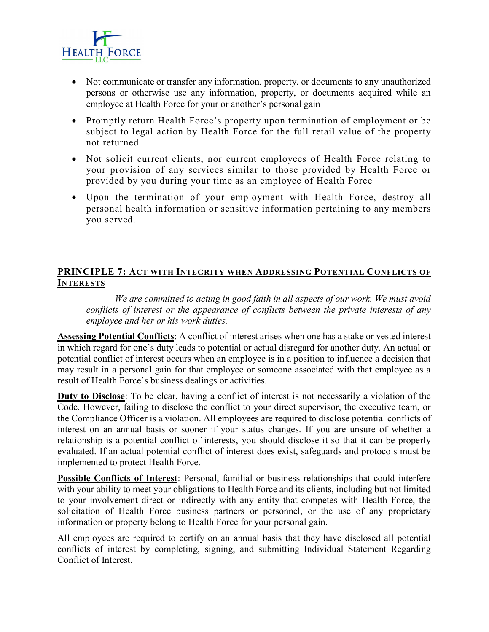

- Not communicate or transfer any information, property, or documents to any unauthorized persons or otherwise use any information, property, or documents acquired while an employee at Health Force for your or another's personal gain
- Promptly return Health Force's property upon termination of employment or be subject to legal action by Health Force for the full retail value of the property not returned
- Not solicit current clients, nor current employees of Health Force relating to your provision of any services similar to those provided by Health Force or provided by you during your time as an employee of Health Force
- Upon the termination of your employment with Health Force, destroy all personal health information or sensitive information pertaining to any members you served.

# PRINCIPLE 7: ACT WITH INTEGRITY WHEN ADDRESSING POTENTIAL CONFLICTS OF **INTERESTS**

We are committed to acting in good faith in all aspects of our work. We must avoid conflicts of interest or the appearance of conflicts between the private interests of any employee and her or his work duties.

Assessing Potential Conflicts: A conflict of interest arises when one has a stake or vested interest in which regard for one's duty leads to potential or actual disregard for another duty. An actual or potential conflict of interest occurs when an employee is in a position to influence a decision that may result in a personal gain for that employee or someone associated with that employee as a result of Health Force's business dealings or activities.

Duty to Disclose: To be clear, having a conflict of interest is not necessarily a violation of the Code. However, failing to disclose the conflict to your direct supervisor, the executive team, or the Compliance Officer is a violation. All employees are required to disclose potential conflicts of interest on an annual basis or sooner if your status changes. If you are unsure of whether a relationship is a potential conflict of interests, you should disclose it so that it can be properly evaluated. If an actual potential conflict of interest does exist, safeguards and protocols must be implemented to protect Health Force.

Possible Conflicts of Interest: Personal, familial or business relationships that could interfere with your ability to meet your obligations to Health Force and its clients, including but not limited to your involvement direct or indirectly with any entity that competes with Health Force, the solicitation of Health Force business partners or personnel, or the use of any proprietary information or property belong to Health Force for your personal gain.

All employees are required to certify on an annual basis that they have disclosed all potential conflicts of interest by completing, signing, and submitting Individual Statement Regarding Conflict of Interest.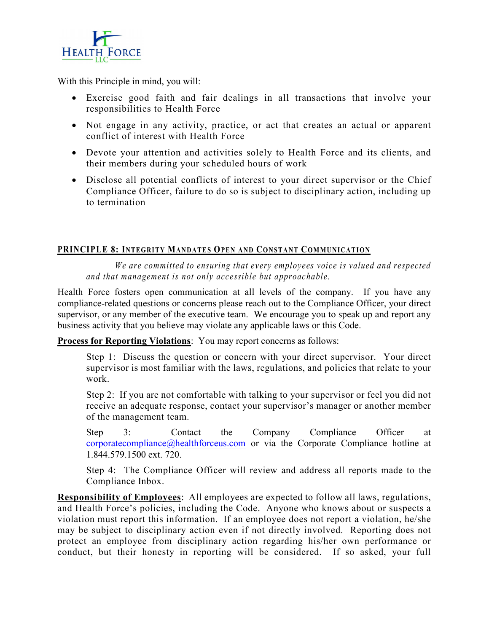

With this Principle in mind, you will:

- Exercise good faith and fair dealings in all transactions that involve your responsibilities to Health Force
- Not engage in any activity, practice, or act that creates an actual or apparent conflict of interest with Health Force
- Devote your attention and activities solely to Health Force and its clients, and their members during your scheduled hours of work
- Disclose all potential conflicts of interest to your direct supervisor or the Chief Compliance Officer, failure to do so is subject to disciplinary action, including up to termination **HEALTH\_FORCE**<br>
With this Principle in mind, you will:<br>
• Exercise good claith and fair dealings in all transactions that involve your<br>
responsibilities to Health Force<br>
• Not engage in any activity, practice, or act that

We are committed to ensuring that every employees voice is valued and respected and that management is not only accessible but approachable.

Health Force fosters open communication at all levels of the company. If you have any compliance-related questions or concerns please reach out to the Compliance Officer, your direct supervisor, or any member of the executive team. We encourage you to speak up and report any business activity that you believe may violate any applicable laws or this Code.

**Process for Reporting Violations:** You may report concerns as follows:

Step 1: Discuss the question or concern with your direct supervisor. Your direct supervisor is most familiar with the laws, regulations, and policies that relate to your work.

Step 2: If you are not comfortable with talking to your supervisor or feel you did not receive an adequate response, contact your supervisor's manager or another member of the management team.

Step 3: Contact the Company Compliance Officer at corporatecompliance@healthforceus.com or via the Corporate Compliance hotline at 1.844.579.1500 ext. 720.

Step 4: The Compliance Officer will review and address all reports made to the Compliance Inbox.

Responsibility of Employees: All employees are expected to follow all laws, regulations, and Health Force's policies, including the Code. Anyone who knows about or suspects a violation must report this information. If an employee does not report a violation, he/she may be subject to disciplinary action even if not directly involved. Reporting does not protect an employee from disciplinary action regarding his/her own performance or conduct, but their honesty in reporting will be considered. If so asked, your full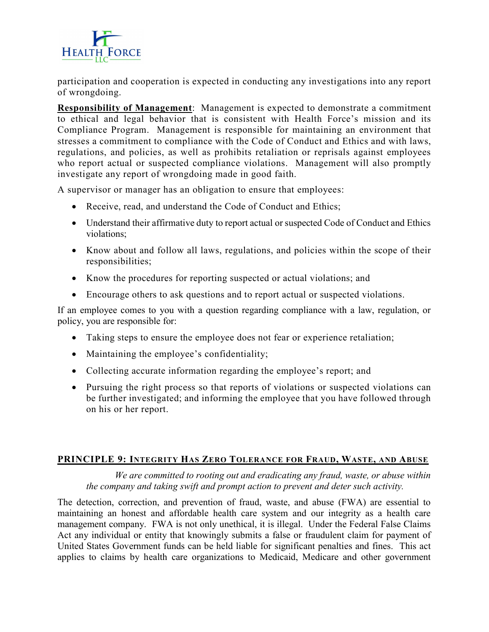

participation and cooperation is expected in conducting any investigations into any report of wrongdoing.

Responsibility of Management: Management is expected to demonstrate a commitment to ethical and legal behavior that is consistent with Health Force's mission and its Compliance Program. Management is responsible for maintaining an environment that stresses a commitment to compliance with the Code of Conduct and Ethics and with laws, regulations, and policies, as well as prohibits retaliation or reprisals against employees who report actual or suspected compliance violations. Management will also promptly investigate any report of wrongdoing made in good faith.

A supervisor or manager has an obligation to ensure that employees:

- Receive, read, and understand the Code of Conduct and Ethics;
- Understand their affirmative duty to report actual or suspected Code of Conduct and Ethics violations;
- Know about and follow all laws, regulations, and policies within the scope of their responsibilities;
- Know the procedures for reporting suspected or actual violations; and
- Encourage others to ask questions and to report actual or suspected violations.

If an employee comes to you with a question regarding compliance with a law, regulation, or policy, you are responsible for:

- Taking steps to ensure the employee does not fear or experience retaliation;
- Maintaining the employee's confidentiality;
- Collecting accurate information regarding the employee's report; and
- Pursuing the right process so that reports of violations or suspected violations can be further investigated; and informing the employee that you have followed through on his or her report.

## PRINCIPLE 9: INTEGRITY HAS ZERO TOLERANCE FOR FRAUD, WASTE, AND ABUSE

We are committed to rooting out and eradicating any fraud, waste, or abuse within the company and taking swift and prompt action to prevent and deter such activity.

The detection, correction, and prevention of fraud, waste, and abuse (FWA) are essential to maintaining an honest and affordable health care system and our integrity as a health care management company. FWA is not only unethical, it is illegal. Under the Federal False Claims Act any individual or entity that knowingly submits a false or fraudulent claim for payment of United States Government funds can be held liable for significant penalties and fines. This act applies to claims by health care organizations to Medicaid, Medicare and other government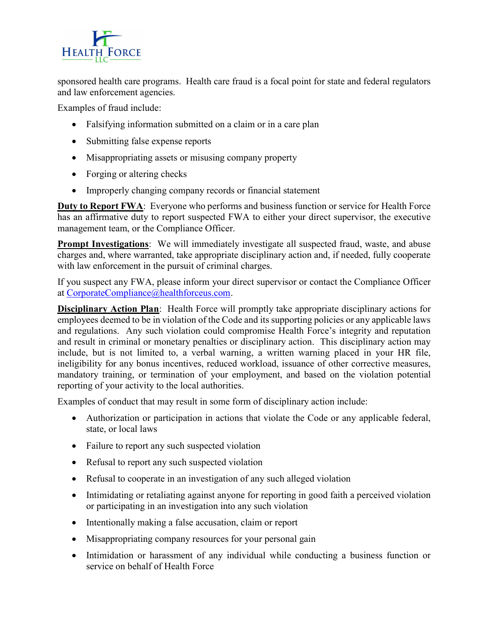

sponsored health care programs. Health care fraud is a focal point for state and federal regulators and law enforcement agencies.

Examples of fraud include:

- Falsifying information submitted on a claim or in a care plan
- Submitting false expense reports
- Misappropriating assets or misusing company property
- Forging or altering checks
- Improperly changing company records or financial statement

**Duty to Report FWA:** Everyone who performs and business function or service for Health Force has an affirmative duty to report suspected FWA to either your direct supervisor, the executive management team, or the Compliance Officer.

**Prompt Investigations**: We will immediately investigate all suspected fraud, waste, and abuse charges and, where warranted, take appropriate disciplinary action and, if needed, fully cooperate with law enforcement in the pursuit of criminal charges.

If you suspect any FWA, please inform your direct supervisor or contact the Compliance Officer at CorporateCompliance@healthforceus.com.

Disciplinary Action Plan: Health Force will promptly take appropriate disciplinary actions for employees deemed to be in violation of the Code and its supporting policies or any applicable laws and regulations. Any such violation could compromise Health Force's integrity and reputation and result in criminal or monetary penalties or disciplinary action. This disciplinary action may include, but is not limited to, a verbal warning, a written warning placed in your HR file, ineligibility for any bonus incentives, reduced workload, issuance of other corrective measures, mandatory training, or termination of your employment, and based on the violation potential reporting of your activity to the local authorities.

Examples of conduct that may result in some form of disciplinary action include:

- Authorization or participation in actions that violate the Code or any applicable federal, state, or local laws
- Failure to report any such suspected violation
- Refusal to report any such suspected violation
- Refusal to cooperate in an investigation of any such alleged violation
- Intimidating or retaliating against anyone for reporting in good faith a perceived violation or participating in an investigation into any such violation
- Intentionally making a false accusation, claim or report
- Misappropriating company resources for your personal gain
- Intimidation or harassment of any individual while conducting a business function or service on behalf of Health Force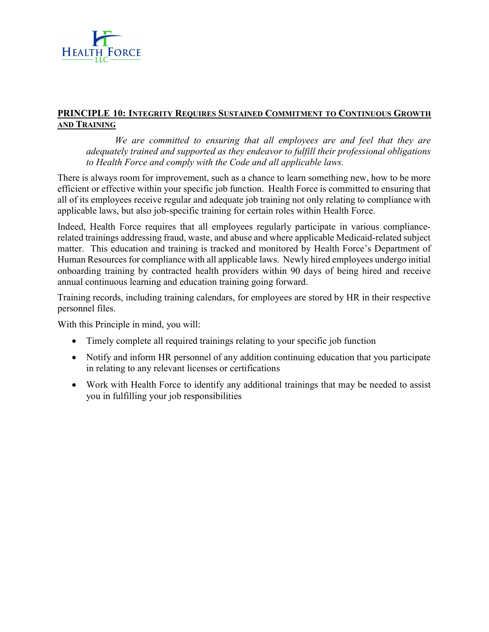

#### PRINCIPLE 10: INTEGRITY REQUIRES SUSTAINED COMMITMENT TO CONTINUOUS GROWTH AND TRAINING

We are committed to ensuring that all employees are and feel that they are adequately trained and supported as they endeavor to fulfill their professional obligations to Health Force and comply with the Code and all applicable laws.

There is always room for improvement, such as a chance to learn something new, how to be more efficient or effective within your specific job function. Health Force is committed to ensuring that all of its employees receive regular and adequate job training not only relating to compliance with applicable laws, but also job-specific training for certain roles within Health Force.

Indeed, Health Force requires that all employees regularly participate in various compliancerelated trainings addressing fraud, waste, and abuse and where applicable Medicaid-related subject matter. This education and training is tracked and monitored by Health Force's Department of Human Resources for compliance with all applicable laws. Newly hired employees undergo initial onboarding training by contracted health providers within 90 days of being hired and receive annual continuous learning and education training going forward.

Training records, including training calendars, for employees are stored by HR in their respective personnel files.

With this Principle in mind, you will:

- Timely complete all required trainings relating to your specific job function
- Notify and inform HR personnel of any addition continuing education that you participate in relating to any relevant licenses or certifications
- Work with Health Force to identify any additional trainings that may be needed to assist you in fulfilling your job responsibilities